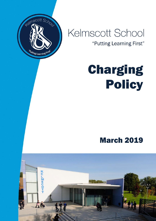

## Kelmscott School

"Putting Learning First"

# Charging Policy

### March 2019

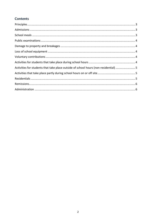#### **Contents**

| Activities for students that take place outside of school hours (non-residential)  5 |  |
|--------------------------------------------------------------------------------------|--|
|                                                                                      |  |
|                                                                                      |  |
|                                                                                      |  |
|                                                                                      |  |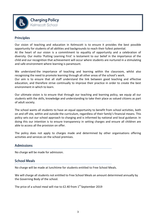

#### **Principles**

Our vision of teaching and education in Kelmscott is to ensure it provides the best possible opportunity for students of all abilities and backgrounds to reach their fullest potential.

At the heart of our vision is a commitment to equality of opportunity and a celebration of diversity. Our motto 'Putting Learning First' is testament to our belief in the importance of the child and our recognition that achievement will occur where students are nurtured in a stimulating and safe environment where learning is paramount.

We understand the importance of teaching and learning within the classroom, whilst also recognising the need to promote learning through all other areas of the school's work.

Our aim is to ensure that all staff understand the link between good teaching and effective education, and therefore strive continually to improve their practice in order to create the best environment in which to learn.

Our ultimate vision is to ensure that through our teaching and learning policy, we equip all our students with the skills, knowledge and understanding to take their place as valued citizens as part of adult society.

The school wants all students to have an equal opportunity to benefit from school activities, both on and off site, within and outside the curriculum, regardless of their family's financial means. This policy sets out our school approach to charging and is informed by national and local guidance. In doing this our intention is to ensure transparency in setting charges and ensure all children are able to access all the provision on offer.

The policy does not apply to charges made and determined by other organisations offering activities and services on the school premises.

#### **Admissions**

No charge will be made for admission.

#### **School Meals**

No charge will be made at lunchtime for students entitled to Free School Meals.

We will charge all students not entitled to Free School Meals an amount determined annually by the Governing Body of the school.

The price of a school meal will rise to  $E2.40$  from  $1<sup>st</sup>$  September 2019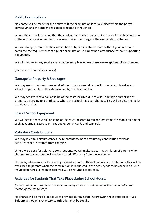#### **Public Examinations**

No charge will be made for the entry fee if the examination is for a subject within the normal curriculum and the student has been prepared at the school.

Where the school is satisfied that the student has reached an acceptable level in a subject outside of the normal curriculum, the school may waiver the charge of the examination entry fee.

We will charge parents for the examination entry fee if a student fails without good reason to complete the requirements of a public examination, including non-attendance without supporting documents.

We will charge for any retake examination entry fees unless there are exceptional circumstances.

(Please see Examinations Policy)

#### **Damage to Property & Breakages**

We may seek to recover some or all of the costs incurred due to wilful damage or breakage of school property. This will be determined by the Headteacher.

We may seek to recover all or some of the costs incurred due to wilful damage or breakage of property belonging to a third party where the school has been charged. This will be determined by the Headteacher.

#### **Loss of School Equipment**

We will seek to recover all or some of the costs incurred to replace lost items of school equipment such as Journals, Exercise or Text books, Lunch Cards and Lanyards.

#### **Voluntary Contributions**

We may in certain circumstances invite parents to make a voluntary contribution towards activities that are exempt from charging.

Where we do ask for voluntary contributions, we will make it clear that children of parents who choose not to contribute will not be treated differently from those who do.

However, where an activity cannot go ahead without sufficient voluntary contributions, this will be explained to parents when the contribution is requested. If the activity has to be cancelled due to insufficient funds, all monies received will be returned to parents.

#### Activities for Students That Take Place during School Hours.

*(School hours are those where school is actually in session and do not include the break in the middle of the school day)*

No charge will be made for activities provided during school hours (with the exception of Music Tuition), although a voluntary contribution may be sought.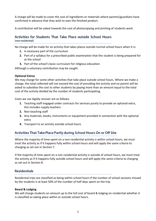A charge will be made to cover the cost of ingredients or materials where parents/guardians have confirmed in advance that they wish to own the finished product.

A contribution will be asked towards the cost of photocopying and printing of students work.

#### Activities for Students That Take Place outside School Hours (non-residential)

No charge will be made for an activity that takes places outside normal school hours when it is:

- **1.** A necessary part of the curriculum
- **2.** Part of a syllabus for a prescribed public examination that the student is being prepared for at the school
- **3.** Part of the school's basic curriculum for religious education

Although a voluntary contribution may be sought.

#### **Optional Extras**

We may charge for some other activities that take place outside school hours. Where we make a charge, the total collected will not exceed the cost of providing the activity and no parent will be asked to subsidise the cost to other students by paying more than an amount equal to the total cost of the activity divided by the number of students participating.

Costs we can legally recover are as follows:

- **1.** Teaching staff engaged under contracts for services purely to provide an optional extra, this includes supply teachers
- **2.** Non-teaching staff
- **3.** Any materials, books, instruments or equipment provided in connection with the optional extra
- **4.** Transport to an activity outside school hours

#### Activities That Take Place Partly during School Hours On or Off Site

Where the majority of time spent on a non-residential activity is within school hours, we must treat the activity as if it happens fully within school hours and will apply the same criteria to charging as set out in Section 7.

If the majority of time spent on a non-residential activity is outside of school hours, we must treat the activity as if it happens fully outside school hours and will apply the same criteria to charging as set out in Section 8.

#### **Residentials**

Residential trips are classified as being within school hours if the number of school sessions missed by the students is at least 50% of the number of half days spent on the trip.

#### **Board & Lodging**

We will charge students an amount up to the full cost of board & lodging on residential whether it is classified as taking place within or outside school hours.